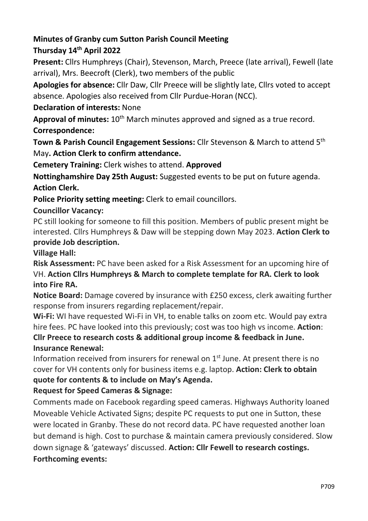#### Minutes of Granby cum Sutton Parish Council Meeting Thursday 14th April 2022

# Present: Cllrs Humphreys (Chair), Stevenson, March, Preece (late arrival), Fewell (late arrival), Mrs. Beecroft (Clerk), two members of the public

Apologies for absence: Cllr Daw, Cllr Preece will be slightly late, Cllrs voted to accept absence. Apologies also received from Cllr Purdue-Horan (NCC).

## Declaration of interests: None

Approval of minutes:  $10<sup>th</sup>$  March minutes approved and signed as a true record. Correspondence:

Town & Parish Council Engagement Sessions: Cllr Stevenson & March to attend 5<sup>th</sup> May. Action Clerk to confirm attendance.

Cemetery Training: Clerk wishes to attend. Approved

Nottinghamshire Day 25th August: Suggested events to be put on future agenda. Action Clerk.

Police Priority setting meeting: Clerk to email councillors.

### Councillor Vacancy:

PC still looking for someone to fill this position. Members of public present might be interested. Cllrs Humphreys & Daw will be stepping down May 2023. Action Clerk to provide Job description.

### Village Hall:

Risk Assessment: PC have been asked for a Risk Assessment for an upcoming hire of VH. Action Cllrs Humphreys & March to complete template for RA. Clerk to look into Fire RA.

Notice Board: Damage covered by insurance with £250 excess, clerk awaiting further response from insurers regarding replacement/repair.

Wi-Fi: WI have requested Wi-Fi in VH, to enable talks on zoom etc. Would pay extra hire fees. PC have looked into this previously; cost was too high vs income. Action: Cllr Preece to research costs & additional group income & feedback in June.

### Insurance Renewal:

Information received from insurers for renewal on  $1<sup>st</sup>$  June. At present there is no cover for VH contents only for business items e.g. laptop. Action: Clerk to obtain quote for contents & to include on May's Agenda.

# Request for Speed Cameras & Signage:

Comments made on Facebook regarding speed cameras. Highways Authority loaned Moveable Vehicle Activated Signs; despite PC requests to put one in Sutton, these were located in Granby. These do not record data. PC have requested another loan but demand is high. Cost to purchase & maintain camera previously considered. Slow down signage & 'gateways' discussed. Action: Cllr Fewell to research costings. Forthcoming events: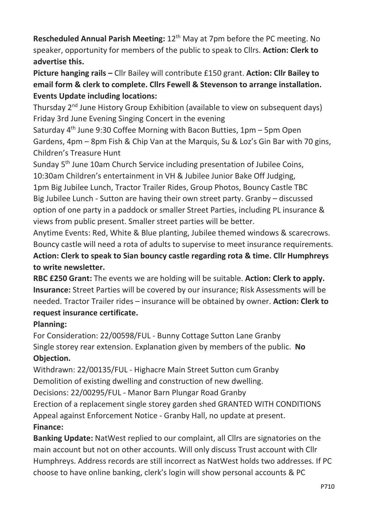Rescheduled Annual Parish Meeting: 12<sup>th</sup> May at 7pm before the PC meeting. No speaker, opportunity for members of the public to speak to Cllrs. Action: Clerk to advertise this.

Picture hanging rails – Cllr Bailey will contribute £150 grant. Action: Cllr Bailey to email form & clerk to complete. Cllrs Fewell & Stevenson to arrange installation. Events Update including locations:

Thursday 2<sup>nd</sup> June History Group Exhibition (available to view on subsequent days) Friday 3rd June Evening Singing Concert in the evening

Saturday  $4<sup>th</sup>$  June 9:30 Coffee Morning with Bacon Butties, 1pm – 5pm Open Gardens, 4pm – 8pm Fish & Chip Van at the Marquis, Su & Loz's Gin Bar with 70 gins, Children's Treasure Hunt

Sunday 5<sup>th</sup> June 10am Church Service including presentation of Jubilee Coins, 10:30am Children's entertainment in VH & Jubilee Junior Bake Off Judging,

1pm Big Jubilee Lunch, Tractor Trailer Rides, Group Photos, Bouncy Castle TBC Big Jubilee Lunch - Sutton are having their own street party. Granby – discussed option of one party in a paddock or smaller Street Parties, including PL insurance & views from public present. Smaller street parties will be better.

Anytime Events: Red, White & Blue planting, Jubilee themed windows & scarecrows. Bouncy castle will need a rota of adults to supervise to meet insurance requirements. Action: Clerk to speak to Sian bouncy castle regarding rota & time. Cllr Humphreys to write newsletter.

RBC £250 Grant: The events we are holding will be suitable. Action: Clerk to apply. Insurance: Street Parties will be covered by our insurance; Risk Assessments will be needed. Tractor Trailer rides – insurance will be obtained by owner. Action: Clerk to request insurance certificate.

# Planning:

For Consideration: 22/00598/FUL - Bunny Cottage Sutton Lane Granby Single storey rear extension. Explanation given by members of the public. No Objection.

Withdrawn: 22/00135/FUL - Highacre Main Street Sutton cum Granby Demolition of existing dwelling and construction of new dwelling.

Decisions: 22/00295/FUL - Manor Barn Plungar Road Granby

Erection of a replacement single storey garden shed GRANTED WITH CONDITIONS Appeal against Enforcement Notice - Granby Hall, no update at present. Finance:

Banking Update: NatWest replied to our complaint, all Cllrs are signatories on the main account but not on other accounts. Will only discuss Trust account with Cllr Humphreys. Address records are still incorrect as NatWest holds two addresses. If PC choose to have online banking, clerk's login will show personal accounts & PC